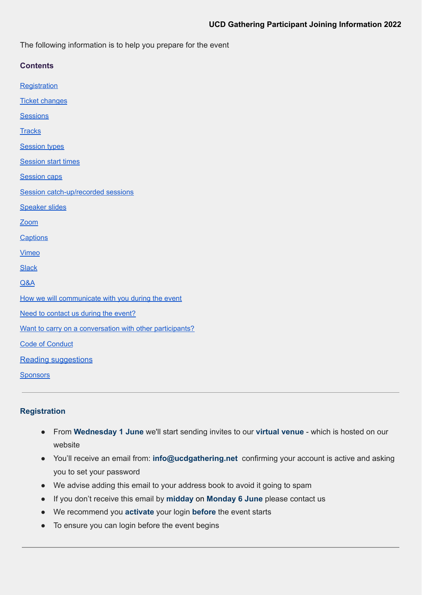The following information is to help you prepare for the event

| <b>Contents</b>                                          |
|----------------------------------------------------------|
| Registration                                             |
| <b>Ticket changes</b>                                    |
| <b>Sessions</b>                                          |
| <b>Tracks</b>                                            |
| <b>Session types</b>                                     |
| <b>Session start times</b>                               |
| <b>Session caps</b>                                      |
| Session catch-up/recorded sessions                       |
| <b>Speaker slides</b>                                    |
| Zoom                                                     |
| <b>Captions</b>                                          |
| <b>Vimeo</b>                                             |
| <b>Slack</b>                                             |
| Q&A                                                      |
| How we will communicate with you during the event        |
| Need to contact us during the event?                     |
| Want to carry on a conversation with other participants? |
| <b>Code of Conduct</b>                                   |
| <b>Reading suggestions</b>                               |
| <b>Sponsors</b>                                          |

# <span id="page-0-0"></span>**Registration**

- From **Wednesday 1 June** we'll start sending invites to our **virtual venue** which is hosted on our website
- You'll receive an email from: **info@ucdgathering.net** confirming your account is active and asking you to set your password
- We advise adding this email to your address book to avoid it going to spam
- If you don't receive this email by **midday** on **Monday 6 June** please contact us
- We recommend you **activate** your login **before** the event starts
- To ensure you can login before the event begins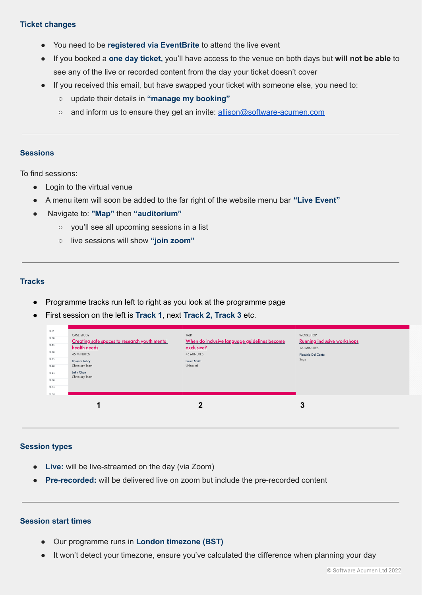# <span id="page-1-0"></span>**Ticket changes**

- You need to be **registered via EventBrite** to attend the live event
- If you booked a **one day ticket,** you'll have access to the venue on both days but **will not be able** to see any of the live or recorded content from the day your ticket doesn't cover
- If you received this email, but have swapped your ticket with someone else, you need to:
	- update their details in **"manage my booking"**
	- and inform us to ensure they get an invite: [allison@software-acumen.com](mailto:allison@software-acumen.com)

### <span id="page-1-1"></span>**Sessions**

To find sessions:

- Login to the virtual venue
- A menu item will soon be added to the far right of the website menu bar **"Live Event"**
- Navigate to: **"Map"** then **"auditorium"**
	- you'll see all upcoming sessions in a list
	- live sessions will show **"join zoom"**

# <span id="page-1-2"></span>**Tracks**

- Programme tracks run left to right as you look at the programme page
- First session on the left is **Track 1**, next **Track 2, Track 3** etc.

| 11:15<br>11:20<br>11:25<br>11:30<br>11:35<br>11:40<br>11:45<br>11:50<br>11:55<br>12:00 | <b>CASE STUDY</b><br>Creating safe spaces to research youth mental<br>health needs<br>45 MINUTES<br><b>Bassam Jabry</b><br>Chemistry Team<br>John Chan<br>Chemistry Team | TALK<br>When do inclusive language guidelines become<br>exclusive?<br>45 MINUTES<br>Laura Smith<br>Unboxed | <b>WORKSHOP</b><br><b>Running inclusive workshops</b><br>120 MINUTES<br><b>Flaminia Del Conte</b><br>Sage |
|----------------------------------------------------------------------------------------|--------------------------------------------------------------------------------------------------------------------------------------------------------------------------|------------------------------------------------------------------------------------------------------------|-----------------------------------------------------------------------------------------------------------|
|                                                                                        |                                                                                                                                                                          | $\overline{2}$                                                                                             | 3                                                                                                         |

# <span id="page-1-3"></span>**Session types**

- **Live:** will be live-streamed on the day (via Zoom)
- **Pre-recorded:** will be delivered live on zoom but include the pre-recorded content

### <span id="page-1-4"></span>**Session start times**

- Our programme runs in **London timezone (BST)**
- It won't detect your timezone, ensure you've calculated the difference when planning your day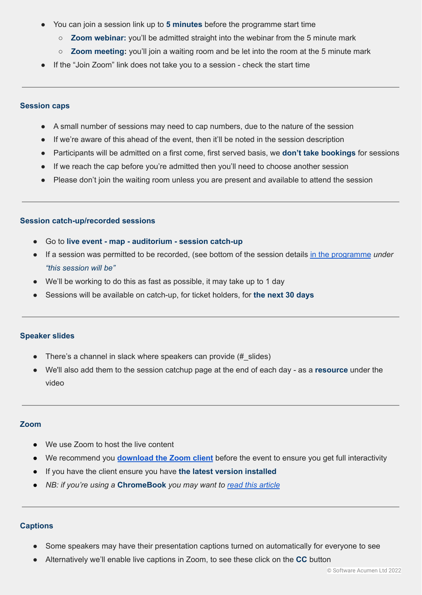- You can join a session link up to **5 minutes** before the programme start time
	- **Zoom webinar:** you'll be admitted straight into the webinar from the 5 minute mark
	- **Zoom meeting:** you'll join a waiting room and be let into the room at the 5 minute mark
- If the "Join Zoom" link does not take you to a session check the start time

## <span id="page-2-0"></span>**Session caps**

- A small number of sessions may need to cap numbers, due to the nature of the session
- If we're aware of this ahead of the event, then it'll be noted in the session description
- Participants will be admitted on a first come, first served basis, we **don't take bookings** for sessions
- If we reach the cap before you're admitted then you'll need to choose another session
- Please don't join the waiting room unless you are present and available to attend the session

### <span id="page-2-1"></span>**Session catch-up/recorded sessions**

- Go to **live event - map - auditorium - session catch-up**
- If a session was permitted to be recorded, (see bottom of the session details in the [programme](https://www.ucdgathering.net/programme) *under "this session will be"*
- We'll be working to do this as fast as possible, it may take up to 1 day
- Sessions will be available on catch-up, for ticket holders, for **the next 30 days**

### <span id="page-2-2"></span>**Speaker slides**

- There's a channel in slack where speakers can provide (# slides)
- We'll also add them to the session catchup page at the end of each day as a **resource** under the video

### <span id="page-2-3"></span>**Zoom**

- We use Zoom to host the live content
- We recommend you **[download](https://zoom.us/download) the Zoom client** before the event to ensure you get full interactivity
- If you have the client ensure you have **the latest version installed**
- *NB: if you're using a* **ChromeBook** *you may want to read this [article](https://blog.zoom.us/how-to-use-zoom-on-a-chromebook/)*

# <span id="page-2-4"></span>**Captions**

- Some speakers may have their presentation captions turned on automatically for everyone to see
- Alternatively we'll enable live captions in Zoom, to see these click on the **CC** button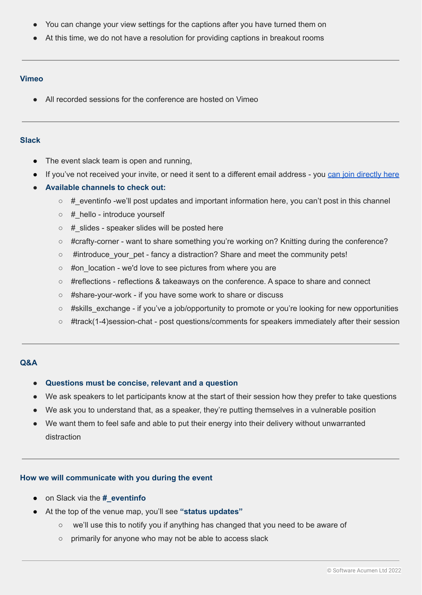- You can change your view settings for the captions after you have turned them on
- At this time, we do not have a resolution for providing captions in breakout rooms

### <span id="page-3-0"></span>**Vimeo**

● All recorded sessions for the conference are hosted on Vimeo

### <span id="page-3-1"></span>**Slack**

- The event slack team is open and running,
- If you've not received your invite, or need it sent to a different email address you can join [directly](https://join.slack.com/t/ucdgathering/shared_invite/zt-rn3s1hie-SEcrprChVLm_iDyL~iq_zg) here
- **Available channels to check out:**
	- #\_eventinfo -we'll post updates and important information here, you can't post in this channel
	- #\_hello introduce yourself
	- # slides speaker slides will be posted here
	- #crafty-corner want to share something you're working on? Knitting during the conference?
	- #introduce\_your\_pet fancy a distraction? Share and meet the community pets!
	- #on location we'd love to see pictures from where you are
	- #reflections reflections & takeaways on the conference. A space to share and connect
	- #share-your-work if you have some work to share or discuss
	- $\circ$  #skills exchange if you've a job/opportunity to promote or you're looking for new opportunities
	- #track(1-4)session-chat post questions/comments for speakers immediately after their session

# <span id="page-3-2"></span>**Q&A**

- **● Questions must be concise, relevant and a question**
- We ask speakers to let participants know at the start of their session how they prefer to take questions
- We ask you to understand that, as a speaker, they're putting themselves in a vulnerable position
- We want them to feel safe and able to put their energy into their delivery without unwarranted distraction

# <span id="page-3-3"></span>**How we will communicate with you during the event**

- on Slack via the **#\_eventinfo**
- At the top of the venue map, you'll see **"status updates"**
	- we'll use this to notify you if anything has changed that you need to be aware of
	- primarily for anyone who may not be able to access slack